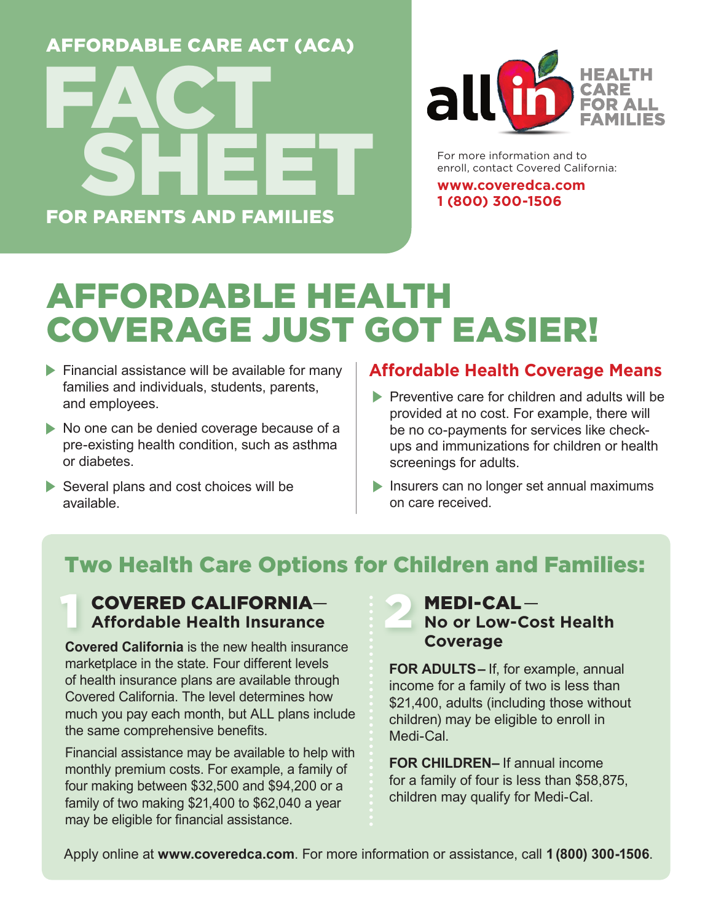## For School Leadership AFFORDABLE CARE ACT (ACA) FOR PARENTS AND FAMILIES FACT SHEET



For more information and to enroll, contact Covered California:

**www.coveredca.com 1 (800) 300-1506** 

## AFFORDABLE HEALTH COVERAGE JUST GOT EASIER!

- $\blacktriangleright$  Financial assistance will be available for many families and individuals, students, parents, and employees.
- No one can be denied coverage because of a pre-existing health condition, such as asthma or diabetes.
- $\blacktriangleright$  Several plans and cost choices will be available.

#### **Affordable Health Coverage Means**

- $\blacktriangleright$  Preventive care for children and adults will be provided at no cost. For example, there will be no co-payments for services like checkups and immunizations for children or health screenings for adults.
- **EXTERN** Insurers can no longer set annual maximums on care received.

### Two Health Care Options for Children and Families:

#### COVERED CALIFORNIA— **Affordable Health Insurance**

**Covered California** is the new health insurance marketplace in the state. Four different levels of health insurance plans are available through Covered California. The level determines how much you pay each month, but ALL plans include the same comprehensive benefits.

Financial assistance may be available to help with monthly premium costs. For example, a family of four making between \$32,500 and \$94,200 or a family of two making \$21,400 to \$62,040 a year may be eligible for financial assistance.

#### MEDI-CAL — **No or Low-Cost Health Coverage**

**FOR ADULTS–** If, for example, annual income for a family of two is less than \$21,400, adults (including those without children) may be eligible to enroll in Medi-Cal.

**FOR CHILDREN–** If annual income for a family of four is less than \$58,875, children may qualify for Medi-Cal.

Apply online at **www.coveredca.com**. For more information or assistance, call **1 (800) 300-1506**.